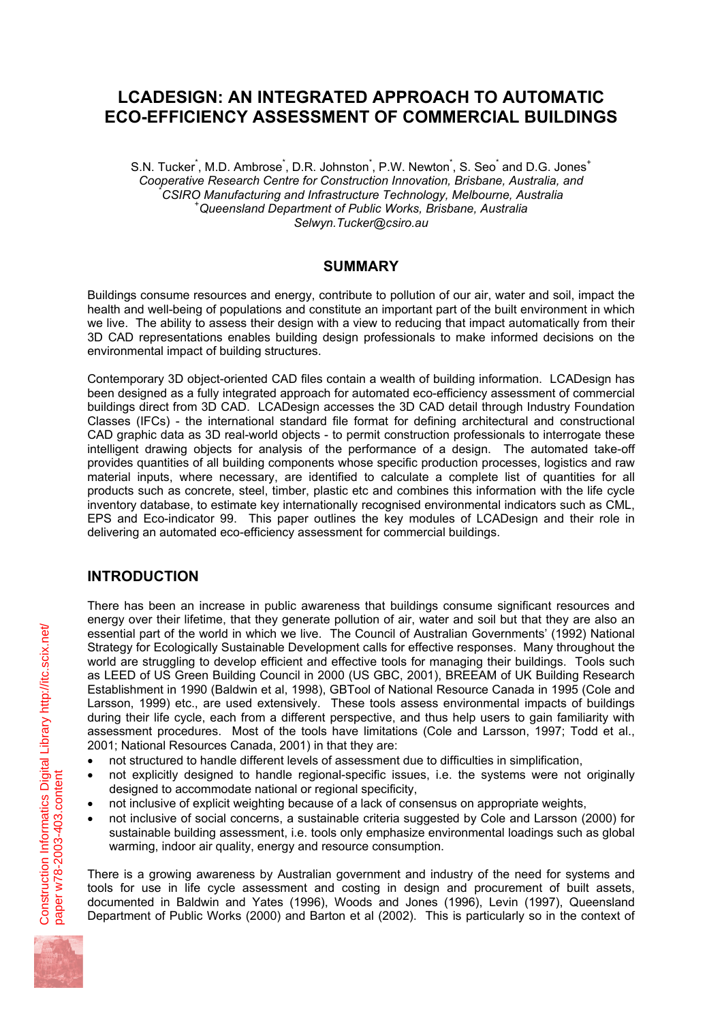# **LCADESIGN: AN INTEGRATED APPROACH TO AUTOMATIC ECO-EFFICIENCY ASSESSMENT OF COMMERCIAL BUILDINGS**

S.N. Tucker<sup>\*</sup>, M.D. Ambrose<sup>\*</sup>, D.R. Johnston<sup>\*</sup>, P.W. Newton<sup>\*</sup>, S. Seo<sup>\*</sup> and D.G. Jones<sup>+</sup> *Cooperative Research Centre for Construction Innovation, Brisbane, Australia, and* \* *CSIRO Manufacturing and Infrastructure Technology, Melbourne, Australia* <sup>+</sup> *Queensland Department of Public Works, Brisbane, Australia Selwyn.Tucker@csiro.au* 

#### **SUMMARY**

Buildings consume resources and energy, contribute to pollution of our air, water and soil, impact the health and well-being of populations and constitute an important part of the built environment in which we live. The ability to assess their design with a view to reducing that impact automatically from their 3D CAD representations enables building design professionals to make informed decisions on the environmental impact of building structures.

Contemporary 3D object-oriented CAD files contain a wealth of building information. LCADesign has been designed as a fully integrated approach for automated eco-efficiency assessment of commercial buildings direct from 3D CAD. LCADesign accesses the 3D CAD detail through Industry Foundation Classes (IFCs) - the international standard file format for defining architectural and constructional CAD graphic data as 3D real-world objects - to permit construction professionals to interrogate these intelligent drawing objects for analysis of the performance of a design. The automated take-off provides quantities of all building components whose specific production processes, logistics and raw material inputs, where necessary, are identified to calculate a complete list of quantities for all products such as concrete, steel, timber, plastic etc and combines this information with the life cycle inventory database, to estimate key internationally recognised environmental indicators such as CML, EPS and Eco-indicator 99. This paper outlines the key modules of LCADesign and their role in delivering an automated eco-efficiency assessment for commercial buildings.

## **INTRODUCTION**

There has been an increase in public awareness that buildings consume significant resources and energy over their lifetime, that they generate pollution of air, water and soil but that they are also an essential part of the world in which we live. The Council of Australian Governments' (1992) National Strategy for Ecologically Sustainable Development calls for effective responses. Many throughout the world are struggling to develop efficient and effective tools for managing their buildings. Tools such as LEED of US Green Building Council in 2000 (US GBC, 2001), BREEAM of UK Building Research Establishment in 1990 (Baldwin et al, 1998), GBTool of National Resource Canada in 1995 (Cole and Larsson, 1999) etc., are used extensively. These tools assess environmental impacts of buildings during their life cycle, each from a different perspective, and thus help users to gain familiarity with assessment procedures. Most of the tools have limitations (Cole and Larsson, 1997; Todd et al., 2001; National Resources Canada, 2001) in that they are:

- not structured to handle different levels of assessment due to difficulties in simplification,
- not explicitly designed to handle regional-specific issues, i.e. the systems were not originally designed to accommodate national or regional specificity,
- not inclusive of explicit weighting because of a lack of consensus on appropriate weights,
- not inclusive of social concerns, a sustainable criteria suggested by Cole and Larsson (2000) for sustainable building assessment, i.e. tools only emphasize environmental loadings such as global warming, indoor air quality, energy and resource consumption.

There is a growing awareness by Australian government and industry of the need for systems and tools for use in life cycle assessment and costing in design and procurement of built assets, documented in Baldwin and Yates (1996), Woods and Jones (1996), Levin (1997), Queensland Department of Public Works (2000) and Barton et al (2002). This is particularly so in the context of

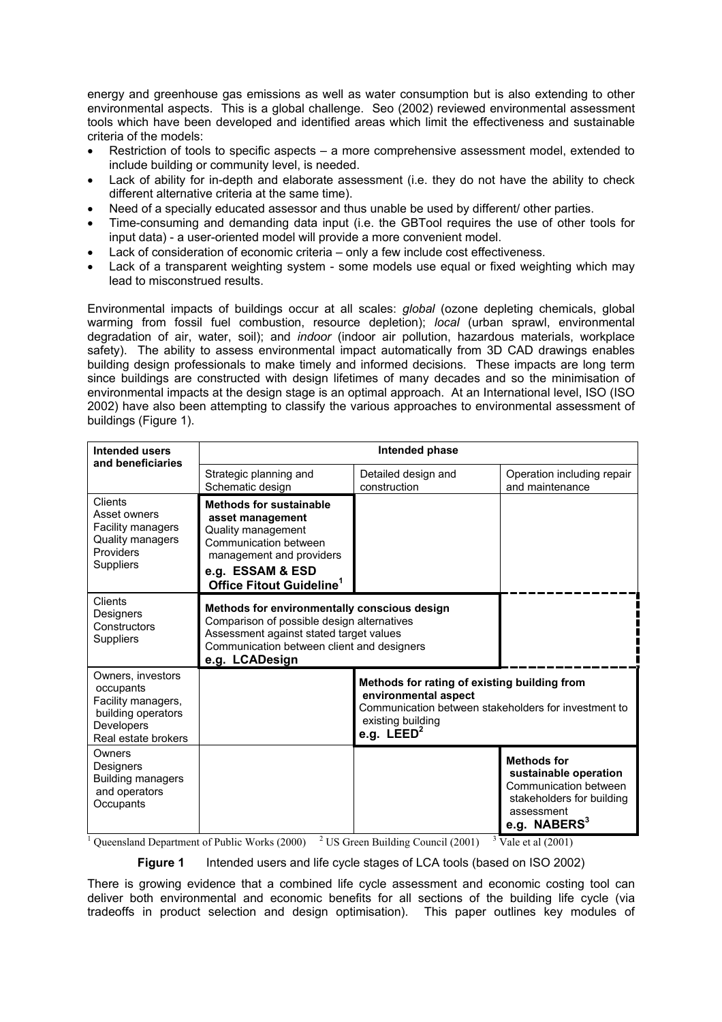energy and greenhouse gas emissions as well as water consumption but is also extending to other environmental aspects. This is a global challenge. Seo (2002) reviewed environmental assessment tools which have been developed and identified areas which limit the effectiveness and sustainable criteria of the models:

- Restriction of tools to specific aspects a more comprehensive assessment model, extended to include building or community level, is needed.
- Lack of ability for in-depth and elaborate assessment (i.e. they do not have the ability to check different alternative criteria at the same time).
- Need of a specially educated assessor and thus unable be used by different/ other parties.
- Time-consuming and demanding data input (i.e. the GBTool requires the use of other tools for input data) - a user-oriented model will provide a more convenient model.
- Lack of consideration of economic criteria only a few include cost effectiveness.
- Lack of a transparent weighting system some models use equal or fixed weighting which may lead to misconstrued results.

Environmental impacts of buildings occur at all scales: *global* (ozone depleting chemicals, global warming from fossil fuel combustion, resource depletion); *local* (urban sprawl, environmental degradation of air, water, soil); and *indoor* (indoor air pollution, hazardous materials, workplace safety). The ability to assess environmental impact automatically from 3D CAD drawings enables building design professionals to make timely and informed decisions. These impacts are long term since buildings are constructed with design lifetimes of many decades and so the minimisation of environmental impacts at the design stage is an optimal approach. At an International level, ISO (ISO 2002) have also been attempting to classify the various approaches to environmental assessment of buildings (Figure 1).

| <b>Intended users</b><br>and beneficiaries                                                                      | Intended phase                                                                                                                                                                                        |                                                                                                                                                                   |                                                                                                                                   |
|-----------------------------------------------------------------------------------------------------------------|-------------------------------------------------------------------------------------------------------------------------------------------------------------------------------------------------------|-------------------------------------------------------------------------------------------------------------------------------------------------------------------|-----------------------------------------------------------------------------------------------------------------------------------|
|                                                                                                                 | Strategic planning and<br>Schematic design                                                                                                                                                            | Detailed design and<br>construction                                                                                                                               | Operation including repair<br>and maintenance                                                                                     |
| Clients<br>Asset owners<br>Facility managers<br>Quality managers<br>Providers<br>Suppliers                      | <b>Methods for sustainable</b><br>asset management<br>Quality management<br>Communication between<br>management and providers<br>e.g. ESSAM & ESD<br>Office Fitout Guideline <sup>1</sup>             |                                                                                                                                                                   |                                                                                                                                   |
| Clients<br><b>Designers</b><br>Constructors<br>Suppliers                                                        | Methods for environmentally conscious design<br>Comparison of possible design alternatives<br>Assessment against stated target values<br>Communication between client and designers<br>e.g. LCADesign |                                                                                                                                                                   |                                                                                                                                   |
| Owners, investors<br>occupants<br>Facility managers,<br>building operators<br>Developers<br>Real estate brokers |                                                                                                                                                                                                       | Methods for rating of existing building from<br>environmental aspect<br>Communication between stakeholders for investment to<br>existing building<br>e.g. $LEED2$ |                                                                                                                                   |
| Owners<br>Designers<br><b>Building managers</b><br>and operators<br>Occupants                                   |                                                                                                                                                                                                       |                                                                                                                                                                   | <b>Methods for</b><br>sustainable operation<br>Communication between<br>stakeholders for building<br>assessment<br>e.g. $NABERS3$ |

<sup>1</sup> Queensland Department of Public Works (2000) <sup>2</sup> US Green Building Council (2001) <sup>3</sup> Vale et al (2001)

**Figure 1** Intended users and life cycle stages of LCA tools (based on ISO 2002)

There is growing evidence that a combined life cycle assessment and economic costing tool can deliver both environmental and economic benefits for all sections of the building life cycle (via tradeoffs in product selection and design optimisation). This paper outlines key modules of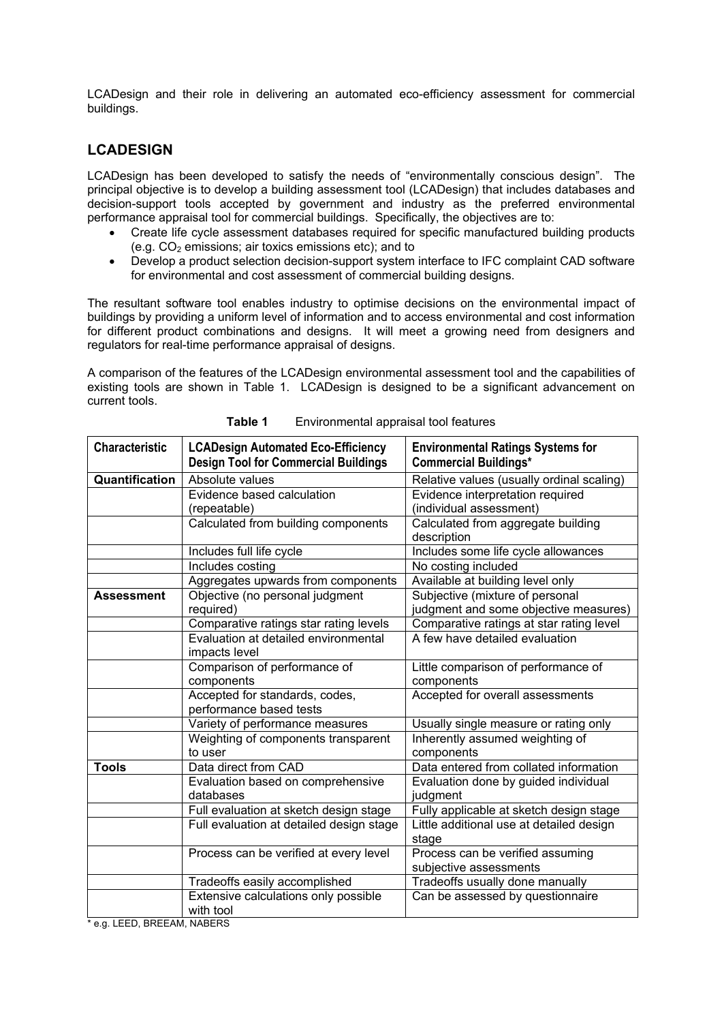LCADesign and their role in delivering an automated eco-efficiency assessment for commercial buildings.

#### **LCADESIGN**

LCADesign has been developed to satisfy the needs of "environmentally conscious design". The principal objective is to develop a building assessment tool (LCADesign) that includes databases and decision-support tools accepted by government and industry as the preferred environmental performance appraisal tool for commercial buildings. Specifically, the objectives are to:

- Create life cycle assessment databases required for specific manufactured building products (e.g.  $CO<sub>2</sub>$  emissions; air toxics emissions etc); and to
- Develop a product selection decision-support system interface to IFC complaint CAD software for environmental and cost assessment of commercial building designs.

The resultant software tool enables industry to optimise decisions on the environmental impact of buildings by providing a uniform level of information and to access environmental and cost information for different product combinations and designs. It will meet a growing need from designers and regulators for real-time performance appraisal of designs.

A comparison of the features of the LCADesign environmental assessment tool and the capabilities of existing tools are shown in Table 1. LCADesign is designed to be a significant advancement on current tools.

| <b>Characteristic</b> | <b>LCADesign Automated Eco-Efficiency</b><br><b>Design Tool for Commercial Buildings</b> | <b>Environmental Ratings Systems for</b><br><b>Commercial Buildings*</b> |
|-----------------------|------------------------------------------------------------------------------------------|--------------------------------------------------------------------------|
| Quantification        | Absolute values                                                                          | Relative values (usually ordinal scaling)                                |
|                       | Evidence based calculation                                                               | Evidence interpretation required                                         |
|                       | (repeatable)                                                                             | (individual assessment)                                                  |
|                       | Calculated from building components                                                      | Calculated from aggregate building                                       |
|                       |                                                                                          | description                                                              |
|                       | Includes full life cycle                                                                 | Includes some life cycle allowances                                      |
|                       | Includes costing                                                                         | No costing included                                                      |
|                       | Aggregates upwards from components                                                       | Available at building level only                                         |
| <b>Assessment</b>     | Objective (no personal judgment                                                          | Subjective (mixture of personal                                          |
|                       | required)                                                                                | judgment and some objective measures)                                    |
|                       | Comparative ratings star rating levels                                                   | Comparative ratings at star rating level                                 |
|                       | Evaluation at detailed environmental                                                     | A few have detailed evaluation                                           |
|                       | impacts level                                                                            |                                                                          |
|                       | Comparison of performance of                                                             | Little comparison of performance of                                      |
|                       | components                                                                               | components                                                               |
|                       | Accepted for standards, codes,                                                           | Accepted for overall assessments                                         |
|                       | performance based tests                                                                  |                                                                          |
|                       | Variety of performance measures                                                          | Usually single measure or rating only                                    |
|                       | Weighting of components transparent                                                      | Inherently assumed weighting of                                          |
|                       | to user                                                                                  | components                                                               |
| <b>Tools</b>          | Data direct from CAD                                                                     | Data entered from collated information                                   |
|                       | Evaluation based on comprehensive                                                        | Evaluation done by guided individual                                     |
|                       | databases                                                                                | judgment                                                                 |
|                       | Full evaluation at sketch design stage                                                   | Fully applicable at sketch design stage                                  |
|                       | Full evaluation at detailed design stage                                                 | Little additional use at detailed design                                 |
|                       |                                                                                          | stage                                                                    |
|                       | Process can be verified at every level                                                   | Process can be verified assuming                                         |
|                       |                                                                                          | subjective assessments                                                   |
|                       | Tradeoffs easily accomplished                                                            | Tradeoffs usually done manually                                          |
|                       | Extensive calculations only possible                                                     | Can be assessed by questionnaire                                         |
| FED DOFFAM            | with tool                                                                                |                                                                          |

**Table 1** Environmental appraisal tool features

\* e.g. LEED, BREEAM, NABERS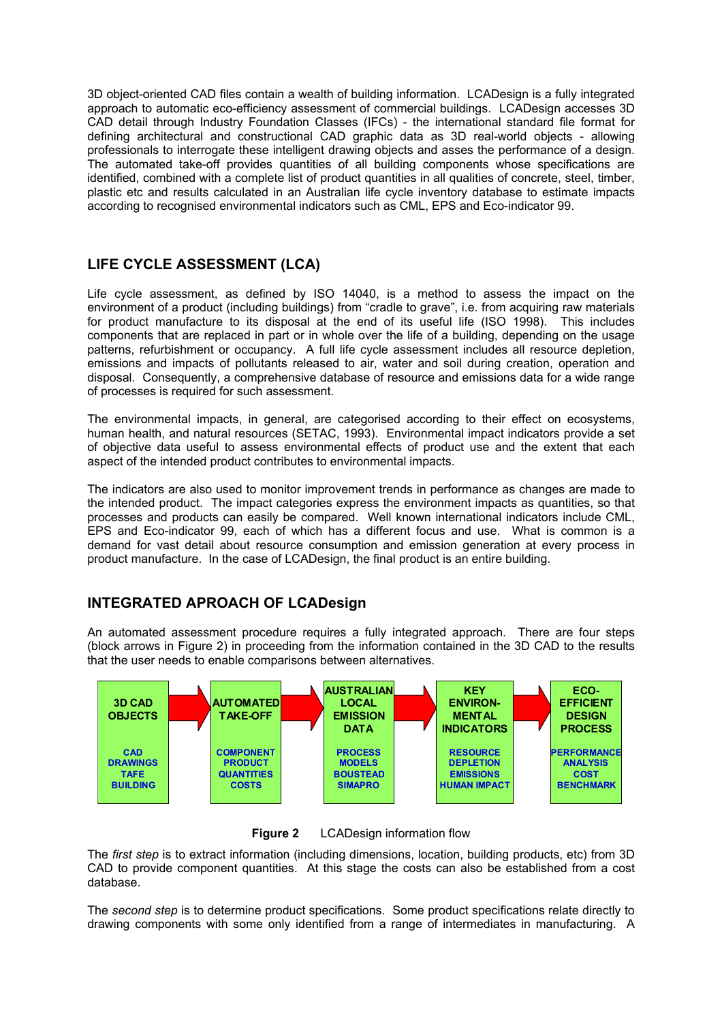3D object-oriented CAD files contain a wealth of building information. LCADesign is a fully integrated approach to automatic eco-efficiency assessment of commercial buildings. LCADesign accesses 3D CAD detail through Industry Foundation Classes (IFCs) - the international standard file format for defining architectural and constructional CAD graphic data as 3D real-world objects - allowing professionals to interrogate these intelligent drawing objects and asses the performance of a design. The automated take-off provides quantities of all building components whose specifications are identified, combined with a complete list of product quantities in all qualities of concrete, steel, timber, plastic etc and results calculated in an Australian life cycle inventory database to estimate impacts according to recognised environmental indicators such as CML, EPS and Eco-indicator 99.

## **LIFE CYCLE ASSESSMENT (LCA)**

Life cycle assessment, as defined by ISO 14040, is a method to assess the impact on the environment of a product (including buildings) from "cradle to grave", i.e. from acquiring raw materials for product manufacture to its disposal at the end of its useful life (ISO 1998). This includes components that are replaced in part or in whole over the life of a building, depending on the usage patterns, refurbishment or occupancy. A full life cycle assessment includes all resource depletion, emissions and impacts of pollutants released to air, water and soil during creation, operation and disposal. Consequently, a comprehensive database of resource and emissions data for a wide range of processes is required for such assessment.

The environmental impacts, in general, are categorised according to their effect on ecosystems, human health, and natural resources (SETAC, 1993). Environmental impact indicators provide a set of objective data useful to assess environmental effects of product use and the extent that each aspect of the intended product contributes to environmental impacts.

The indicators are also used to monitor improvement trends in performance as changes are made to the intended product. The impact categories express the environment impacts as quantities, so that processes and products can easily be compared. Well known international indicators include CML, EPS and Eco-indicator 99, each of which has a different focus and use. What is common is a demand for vast detail about resource consumption and emission generation at every process in product manufacture. In the case of LCADesign, the final product is an entire building.

### **INTEGRATED APROACH OF LCADesign**

An automated assessment procedure requires a fully integrated approach. There are four steps (block arrows in Figure 2) in proceeding from the information contained in the 3D CAD to the results that the user needs to enable comparisons between alternatives.



**Figure 2** LCADesign information flow

The *first step* is to extract information (including dimensions, location, building products, etc) from 3D CAD to provide component quantities. At this stage the costs can also be established from a cost database.

The *second step* is to determine product specifications. Some product specifications relate directly to drawing components with some only identified from a range of intermediates in manufacturing. A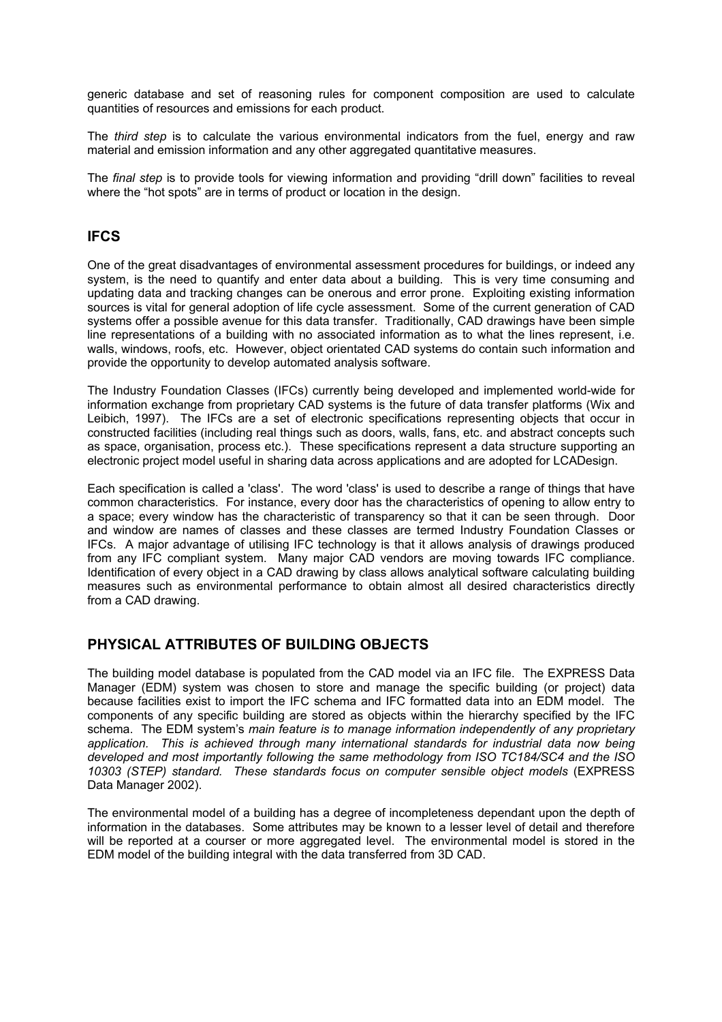generic database and set of reasoning rules for component composition are used to calculate quantities of resources and emissions for each product.

The *third step* is to calculate the various environmental indicators from the fuel, energy and raw material and emission information and any other aggregated quantitative measures.

The *final step* is to provide tools for viewing information and providing "drill down" facilities to reveal where the "hot spots" are in terms of product or location in the design.

#### **IFCS**

One of the great disadvantages of environmental assessment procedures for buildings, or indeed any system, is the need to quantify and enter data about a building. This is very time consuming and updating data and tracking changes can be onerous and error prone. Exploiting existing information sources is vital for general adoption of life cycle assessment. Some of the current generation of CAD systems offer a possible avenue for this data transfer. Traditionally, CAD drawings have been simple line representations of a building with no associated information as to what the lines represent, i.e. walls, windows, roofs, etc. However, object orientated CAD systems do contain such information and provide the opportunity to develop automated analysis software.

The Industry Foundation Classes (IFCs) currently being developed and implemented world-wide for information exchange from proprietary CAD systems is the future of data transfer platforms (Wix and Leibich, 1997). The IFCs are a set of electronic specifications representing objects that occur in constructed facilities (including real things such as doors, walls, fans, etc. and abstract concepts such as space, organisation, process etc.). These specifications represent a data structure supporting an electronic project model useful in sharing data across applications and are adopted for LCADesign.

Each specification is called a 'class'. The word 'class' is used to describe a range of things that have common characteristics. For instance, every door has the characteristics of opening to allow entry to a space; every window has the characteristic of transparency so that it can be seen through. Door and window are names of classes and these classes are termed Industry Foundation Classes or IFCs. A major advantage of utilising IFC technology is that it allows analysis of drawings produced from any IFC compliant system. Many major CAD vendors are moving towards IFC compliance. Identification of every object in a CAD drawing by class allows analytical software calculating building measures such as environmental performance to obtain almost all desired characteristics directly from a CAD drawing.

#### **PHYSICAL ATTRIBUTES OF BUILDING OBJECTS**

The building model database is populated from the CAD model via an IFC file. The EXPRESS Data Manager (EDM) system was chosen to store and manage the specific building (or project) data because facilities exist to import the IFC schema and IFC formatted data into an EDM model. The components of any specific building are stored as objects within the hierarchy specified by the IFC schema. The EDM system's *main feature is to manage information independently of any proprietary application. This is achieved through many international standards for industrial data now being developed and most importantly following the same methodology from ISO TC184/SC4 and the ISO 10303 (STEP) standard. These standards focus on computer sensible object models* (EXPRESS Data Manager 2002).

The environmental model of a building has a degree of incompleteness dependant upon the depth of information in the databases. Some attributes may be known to a lesser level of detail and therefore will be reported at a courser or more aggregated level. The environmental model is stored in the EDM model of the building integral with the data transferred from 3D CAD.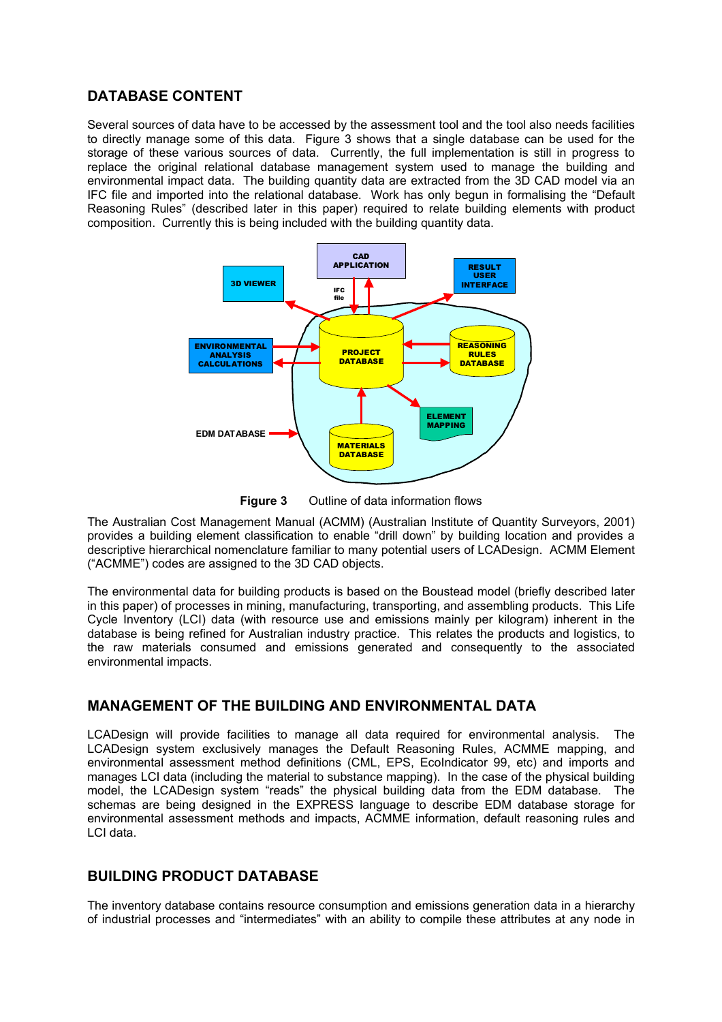### **DATABASE CONTENT**

Several sources of data have to be accessed by the assessment tool and the tool also needs facilities to directly manage some of this data. Figure 3 shows that a single database can be used for the storage of these various sources of data. Currently, the full implementation is still in progress to replace the original relational database management system used to manage the building and environmental impact data. The building quantity data are extracted from the 3D CAD model via an IFC file and imported into the relational database. Work has only begun in formalising the "Default Reasoning Rules" (described later in this paper) required to relate building elements with product composition. Currently this is being included with the building quantity data.



**Figure 3** Outline of data information flows

The Australian Cost Management Manual (ACMM) (Australian Institute of Quantity Surveyors, 2001) provides a building element classification to enable "drill down" by building location and provides a descriptive hierarchical nomenclature familiar to many potential users of LCADesign. ACMM Element ("ACMME") codes are assigned to the 3D CAD objects.

The environmental data for building products is based on the Boustead model (briefly described later in this paper) of processes in mining, manufacturing, transporting, and assembling products. This Life Cycle Inventory (LCI) data (with resource use and emissions mainly per kilogram) inherent in the database is being refined for Australian industry practice. This relates the products and logistics, to the raw materials consumed and emissions generated and consequently to the associated environmental impacts.

### **MANAGEMENT OF THE BUILDING AND ENVIRONMENTAL DATA**

LCADesign will provide facilities to manage all data required for environmental analysis. The LCADesign system exclusively manages the Default Reasoning Rules, ACMME mapping, and environmental assessment method definitions (CML, EPS, EcoIndicator 99, etc) and imports and manages LCI data (including the material to substance mapping). In the case of the physical building model, the LCADesign system "reads" the physical building data from the EDM database. The schemas are being designed in the EXPRESS language to describe EDM database storage for environmental assessment methods and impacts, ACMME information, default reasoning rules and LCI data.

## **BUILDING PRODUCT DATABASE**

The inventory database contains resource consumption and emissions generation data in a hierarchy of industrial processes and "intermediates" with an ability to compile these attributes at any node in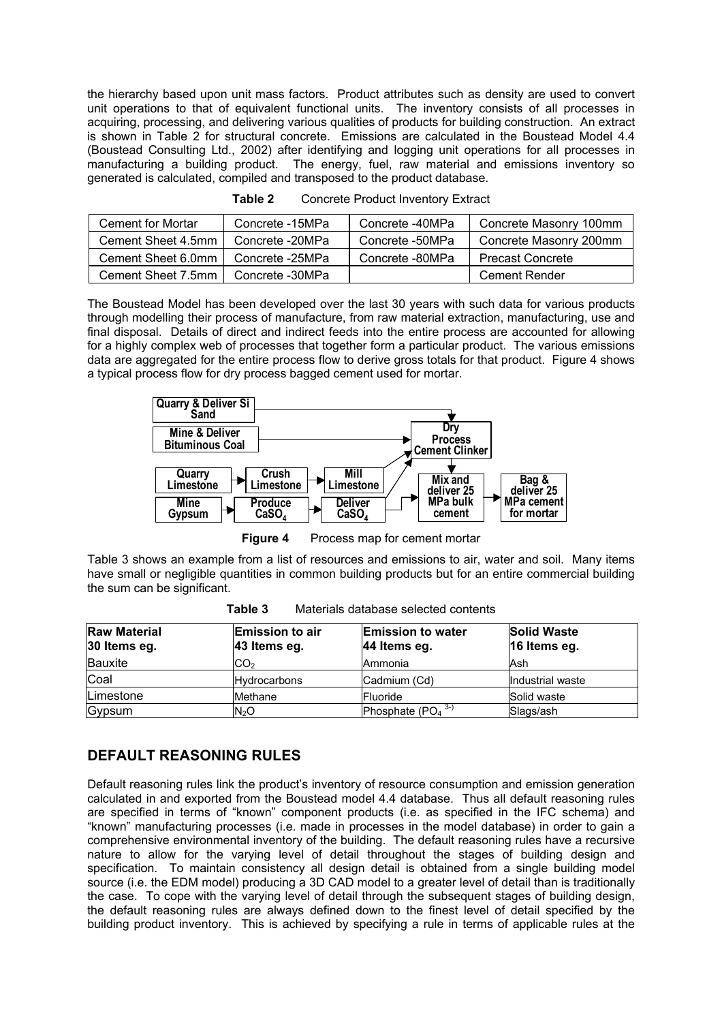the hierarchy based upon unit mass factors. Product attributes such as density are used to convert unit operations to that of equivalent functional units. The inventory consists of all processes in acquiring, processing, and delivering various qualities of products for building construction. An extract is shown in Table 2 for structural concrete. Emissions are calculated in the Boustead Model 4.4 (Boustead Consulting Ltd., 2002) after identifying and logging unit operations for all processes in manufacturing a building product. The energy, fuel, raw material and emissions inventory so generated is calculated, compiled and transposed to the product database.

| Cement for Mortar  | Concrete -15MPa | Concrete -40MPa | Concrete Masonry 100mm  |
|--------------------|-----------------|-----------------|-------------------------|
| Cement Sheet 4.5mm | Concrete -20MPa | Concrete -50MPa | Concrete Masonry 200mm  |
| Cement Sheet 6.0mm | Concrete -25MPa | Concrete -80MPa | <b>Precast Concrete</b> |
| Cement Sheet 7.5mm | Concrete -30MPa |                 | Cement Render           |

| Table 2 | <b>Concrete Product Inventory Extract</b> |  |
|---------|-------------------------------------------|--|
|---------|-------------------------------------------|--|

The Boustead Model has been developed over the last 30 years with such data for various products through modelling their process of manufacture, from raw material extraction, manufacturing, use and final disposal. Details of direct and indirect feeds into the entire process are accounted for allowing for a highly complex web of processes that together form a particular product. The various emissions data are aggregated for the entire process flow to derive gross totals for that product. Figure 4 shows a typical process flow for dry process bagged cement used for mortar.



**Figure 4** Process map for cement mortar

Table 3 shows an example from a list of resources and emissions to air, water and soil. Many items have small or negligible quantities in common building products but for an entire commercial building the sum can be significant.

| <b>Raw Material</b><br>30 Items eg. | <b>Emission to air</b><br>43 Items eg. | <b>Emission to water</b><br>44 Items eg. | <b>Solid Waste</b><br>16 Items eg. |
|-------------------------------------|----------------------------------------|------------------------------------------|------------------------------------|
| Bauxite                             | CO <sub>2</sub>                        | Ammonia                                  | Ash                                |
| Coal                                | <b>Hydrocarbons</b>                    | Cadmium (Cd)                             | Industrial waste                   |
| <b>Limestone</b>                    | Methane                                | Fluoride                                 | Solid waste                        |
| Gypsum                              | N <sub>2</sub> O                       | Phosphate $(PO4$ <sup>3-)</sup>          | Slags/ash                          |

**Table 3** Materials database selected contents

## **DEFAULT REASONING RULES**

Default reasoning rules link the product's inventory of resource consumption and emission generation calculated in and exported from the Boustead model 4.4 database. Thus all default reasoning rules are specified in terms of "known" component products (i.e. as specified in the IFC schema) and "known" manufacturing processes (i.e. made in processes in the model database) in order to gain a comprehensive environmental inventory of the building. The default reasoning rules have a recursive nature to allow for the varying level of detail throughout the stages of building design and specification. To maintain consistency all design detail is obtained from a single building model source (i.e. the EDM model) producing a 3D CAD model to a greater level of detail than is traditionally the case. To cope with the varying level of detail through the subsequent stages of building design, the default reasoning rules are always defined down to the finest level of detail specified by the building product inventory. This is achieved by specifying a rule in terms of applicable rules at the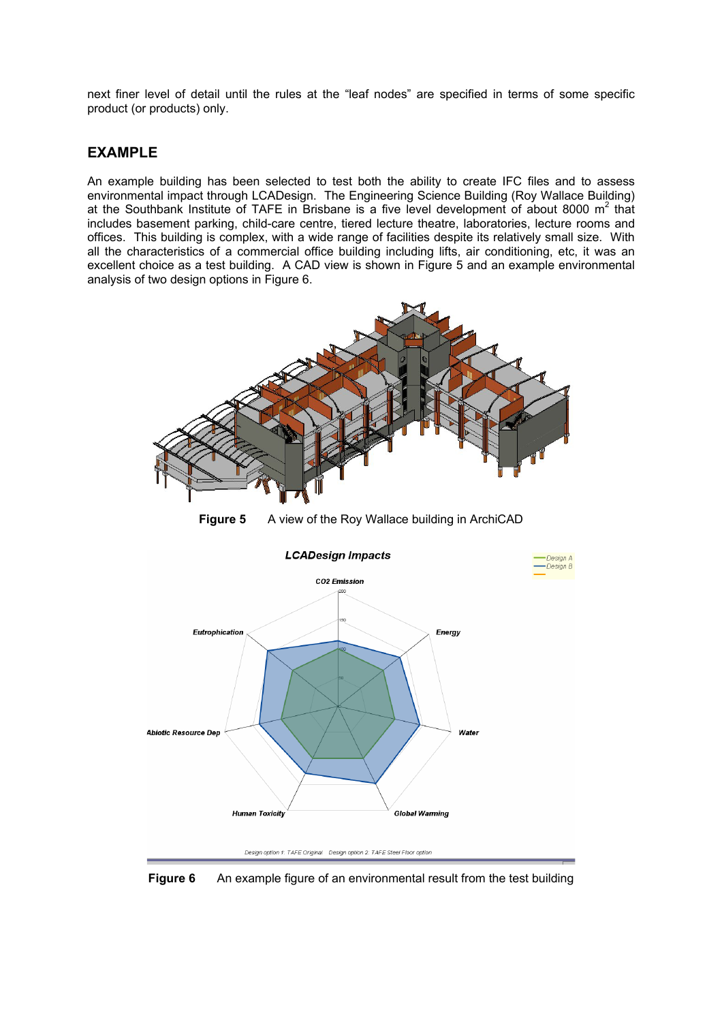next finer level of detail until the rules at the "leaf nodes" are specified in terms of some specific product (or products) only.

#### **EXAMPLE**

An example building has been selected to test both the ability to create IFC files and to assess environmental impact through LCADesign. The Engineering Science Building (Roy Wallace Building) at the Southbank Institute of TAFE in Brisbane is a five level development of about 8000  $m^2$  that includes basement parking, child-care centre, tiered lecture theatre, laboratories, lecture rooms and offices. This building is complex, with a wide range of facilities despite its relatively small size. With all the characteristics of a commercial office building including lifts, air conditioning, etc, it was an excellent choice as a test building. A CAD view is shown in Figure 5 and an example environmental analysis of two design options in Figure 6.





**Figure 6** An example figure of an environmental result from the test building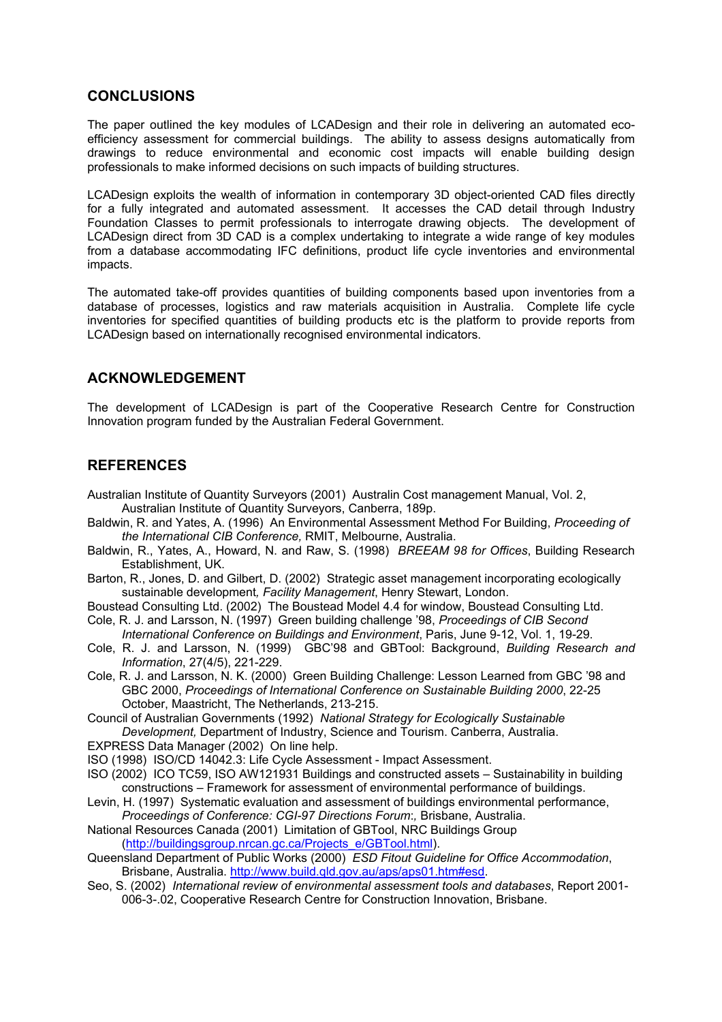#### **CONCLUSIONS**

The paper outlined the key modules of LCADesign and their role in delivering an automated ecoefficiency assessment for commercial buildings. The ability to assess designs automatically from drawings to reduce environmental and economic cost impacts will enable building design professionals to make informed decisions on such impacts of building structures.

LCADesign exploits the wealth of information in contemporary 3D object-oriented CAD files directly for a fully integrated and automated assessment. It accesses the CAD detail through Industry Foundation Classes to permit professionals to interrogate drawing objects. The development of LCADesign direct from 3D CAD is a complex undertaking to integrate a wide range of key modules from a database accommodating IFC definitions, product life cycle inventories and environmental impacts.

The automated take-off provides quantities of building components based upon inventories from a database of processes, logistics and raw materials acquisition in Australia. Complete life cycle inventories for specified quantities of building products etc is the platform to provide reports from LCADesign based on internationally recognised environmental indicators.

## **ACKNOWLEDGEMENT**

The development of LCADesign is part of the Cooperative Research Centre for Construction Innovation program funded by the Australian Federal Government.

### **REFERENCES**

- Australian Institute of Quantity Surveyors (2001) Australin Cost management Manual, Vol. 2, Australian Institute of Quantity Surveyors, Canberra, 189p.
- Baldwin, R. and Yates, A. (1996) An Environmental Assessment Method For Building, *Proceeding of the International CIB Conference,* RMIT, Melbourne, Australia.
- Baldwin, R., Yates, A., Howard, N. and Raw, S. (1998) *BREEAM 98 for Offices*, Building Research Establishment, UK.
- Barton, R., Jones, D. and Gilbert, D. (2002)Strategic asset management incorporating ecologically sustainable development*, Facility Management*, Henry Stewart, London.
- Boustead Consulting Ltd. (2002) The Boustead Model 4.4 for window, Boustead Consulting Ltd. Cole, R. J. and Larsson, N. (1997) Green building challenge '98, *Proceedings of CIB Second*
- *International Conference on Buildings and Environment*, Paris, June 9-12, Vol. 1, 19-29.
- Cole, R. J. and Larsson, N. (1999) GBC'98 and GBTool: Background, *Building Research and Information*, 27(4/5), 221-229.
- Cole, R. J. and Larsson, N. K. (2000) Green Building Challenge: Lesson Learned from GBC '98 and GBC 2000, *Proceedings of International Conference on Sustainable Building 2000*, 22-25 October, Maastricht, The Netherlands, 213-215.
- Council of Australian Governments (1992) *National Strategy for Ecologically Sustainable Development,* Department of Industry, Science and Tourism. Canberra, Australia.
- EXPRESS Data Manager (2002) On line help.
- ISO (1998) ISO/CD 14042.3: Life Cycle Assessment Impact Assessment.
- ISO (2002) ICO TC59, ISO AW121931 Buildings and constructed assets Sustainability in building constructions – Framework for assessment of environmental performance of buildings.
- Levin, H. (1997) Systematic evaluation and assessment of buildings environmental performance, *Proceedings of Conference: CGI-97 Directions Forum*:*,* Brisbane, Australia.
- National Resources Canada (2001) Limitation of GBTool, NRC Buildings Group (http://buildingsgroup.nrcan.gc.ca/Projects\_e/GBTool.html).
- Queensland Department of Public Works (2000) *ESD Fitout Guideline for Office Accommodation*, Brisbane, Australia. http://www.build.qld.gov.au/aps/aps01.htm#esd.
- Seo, S. (2002) *International review of environmental assessment tools and databases*, Report 2001- 006-3-.02, Cooperative Research Centre for Construction Innovation, Brisbane.